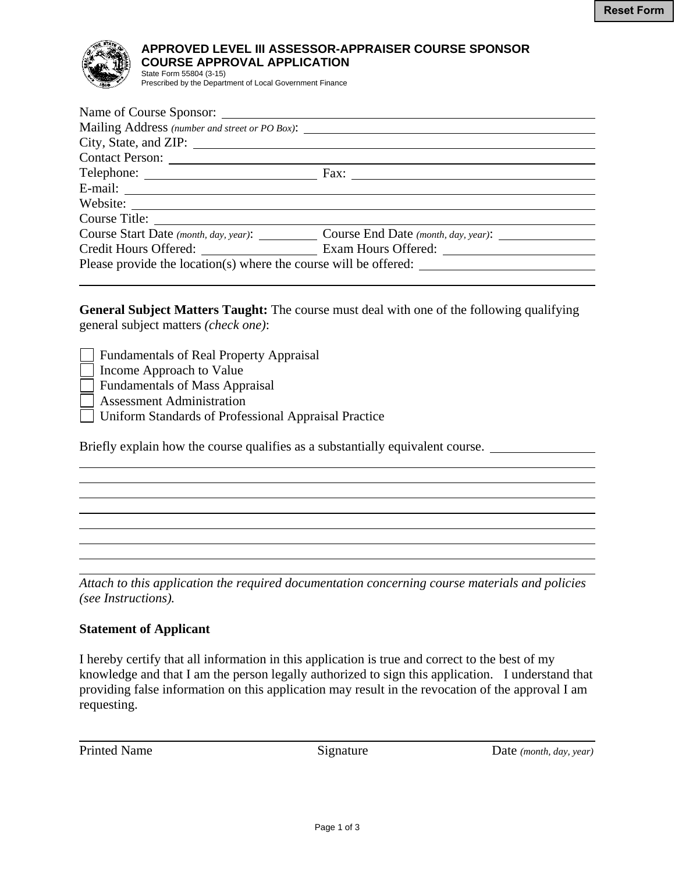

## **APPROVED LEVEL III ASSESSOR-APPRAISER COURSE SPONSOR COURSE APPROVAL APPLICATION**  State Form 55804 (3-15)

Prescribed by the Department of Local Government Finance

| Mailing Address (number and street or PO Box):                                                                                                                                                                                |                                                                           |
|-------------------------------------------------------------------------------------------------------------------------------------------------------------------------------------------------------------------------------|---------------------------------------------------------------------------|
| City, State, and ZIP: 1988. The State of Table 2014. The State of Table 2014. The State of Table 2014. The State of Table 2014. The State of Table 2014. The State of Table 2014. The State of Table 2014. The State of Table |                                                                           |
| Contact Person:                                                                                                                                                                                                               |                                                                           |
|                                                                                                                                                                                                                               |                                                                           |
|                                                                                                                                                                                                                               |                                                                           |
|                                                                                                                                                                                                                               |                                                                           |
|                                                                                                                                                                                                                               |                                                                           |
|                                                                                                                                                                                                                               | Course Start Date (month, day, year): Course End Date (month, day, year): |
|                                                                                                                                                                                                                               | Credit Hours Offered: Exam Hours Offered:                                 |
|                                                                                                                                                                                                                               |                                                                           |
|                                                                                                                                                                                                                               |                                                                           |

**General Subject Matters Taught:** The course must deal with one of the following qualifying general subject matters *(check one)*:

Fundamentals of Real Property Appraisal

Income Approach to Value

Fundamentals of Mass Appraisal

Assessment Administration

Uniform Standards of Professional Appraisal Practice

Briefly explain how the course qualifies as a substantially equivalent course.

*Attach to this application the required documentation concerning course materials and policies (see Instructions).* 

## **Statement of Applicant**

I hereby certify that all information in this application is true and correct to the best of my knowledge and that I am the person legally authorized to sign this application. I understand that providing false information on this application may result in the revocation of the approval I am requesting.

 $\overline{a}$ 

l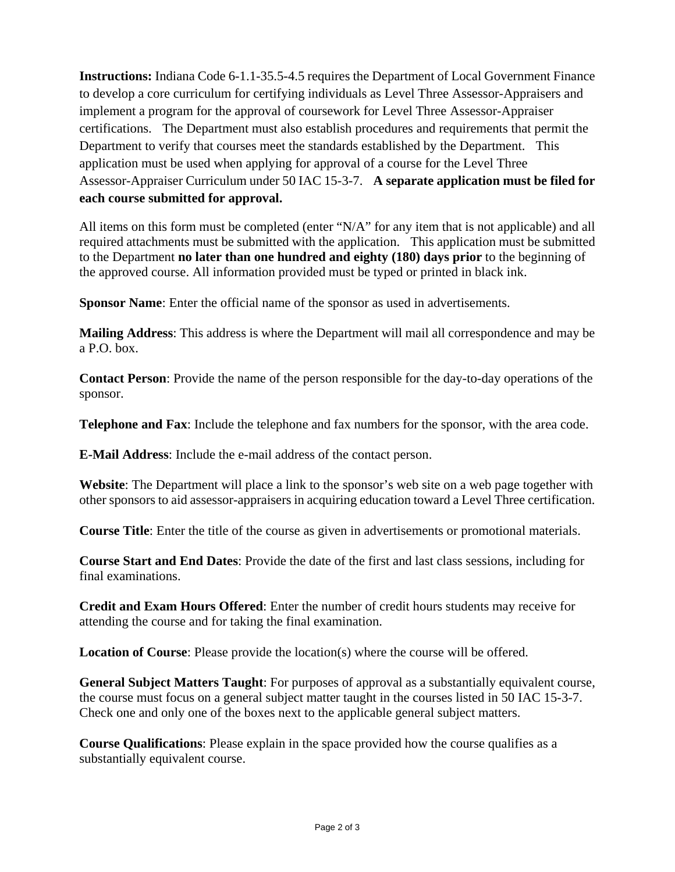**Instructions:** Indiana Code 6-1.1-35.5-4.5 requires the Department of Local Government Finance to develop a core curriculum for certifying individuals as Level Three Assessor-Appraisers and implement a program for the approval of coursework for Level Three Assessor-Appraiser certifications. The Department must also establish procedures and requirements that permit the Department to verify that courses meet the standards established by the Department. This application must be used when applying for approval of a course for the Level Three Assessor-Appraiser Curriculum under 50 IAC 15-3-7. **A separate application must be filed for each course submitted for approval.** 

All items on this form must be completed (enter "N/A" for any item that is not applicable) and all required attachments must be submitted with the application. This application must be submitted to the Department **no later than one hundred and eighty (180) days prior** to the beginning of the approved course. All information provided must be typed or printed in black ink.

**Sponsor Name**: Enter the official name of the sponsor as used in advertisements.

**Mailing Address**: This address is where the Department will mail all correspondence and may be a P.O. box.

**Contact Person**: Provide the name of the person responsible for the day-to-day operations of the sponsor.

**Telephone and Fax**: Include the telephone and fax numbers for the sponsor, with the area code.

**E-Mail Address**: Include the e-mail address of the contact person.

**Website**: The Department will place a link to the sponsor's web site on a web page together with other sponsors to aid assessor-appraisers in acquiring education toward a Level Three certification.

**Course Title**: Enter the title of the course as given in advertisements or promotional materials.

**Course Start and End Dates**: Provide the date of the first and last class sessions, including for final examinations.

**Credit and Exam Hours Offered**: Enter the number of credit hours students may receive for attending the course and for taking the final examination.

**Location of Course**: Please provide the location(s) where the course will be offered.

**General Subject Matters Taught**: For purposes of approval as a substantially equivalent course, the course must focus on a general subject matter taught in the courses listed in 50 IAC 15-3-7. Check one and only one of the boxes next to the applicable general subject matters.

**Course Qualifications**: Please explain in the space provided how the course qualifies as a substantially equivalent course.